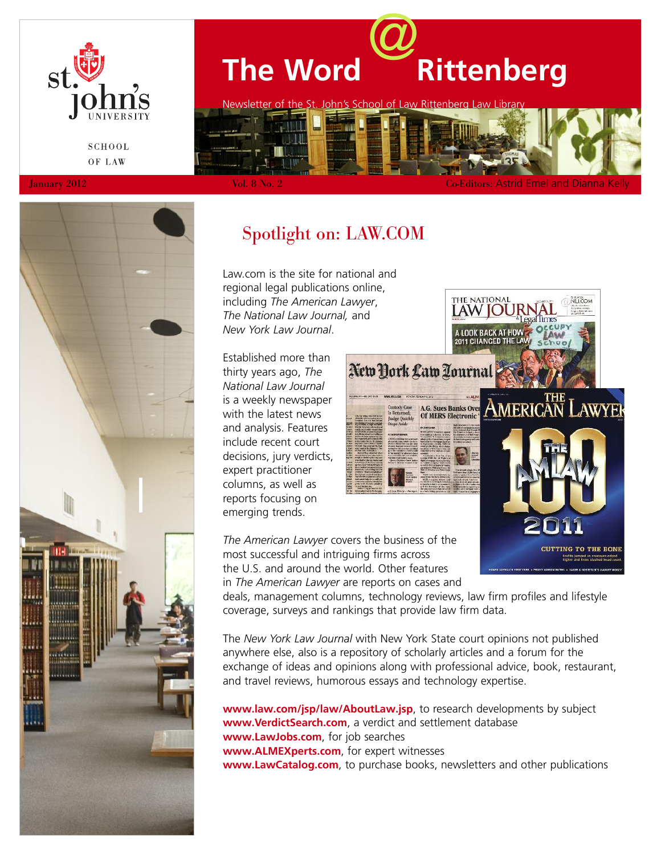

# **The Word**@**Rittenberg** Newsletter of the St. John's School of Law Rittenberg L

**SCHOOL** OF LAW

January 2012 **Vol. 8 No. 2** Co-Editors: Astrid Emel and Dianna Kelly



# Spotlight on: LAW.COM

Law.com is the site for national and regional legal publications online, including *The American Lawyer*, *The National Law Journal,* and *New York Law Journal*.

Established more than thirty years ago, *The National Law Journal* is a weekly newspaper with the latest news and analysis. Features include recent court decisions, jury verdicts, expert practitioner columns, as well as reports focusing on emerging trends.

NLJ.COM 2011 CHANGED THE LA New York Law Zourn American I **AWYEK** A.G. Sues Banks Over **Of MERS Electronic** 

**CUTTING TO THE BONE** 

*The American Lawyer* covers the business of the most successful and intriguing firms across the U.S. and around the world. Other features in *The American Lawyer* are reports on cases and

deals, management columns, technology reviews, law firm profiles and lifestyle coverage, surveys and rankings that provide law firm data.

The *New York Law Journal* with New York State court opinions not published anywhere else, also is a repository of scholarly articles and a forum for the exchange of ideas and opinions along with professional advice, book, restaurant, and travel reviews, humorous essays and technology expertise.

**www.law.com/jsp/law/AboutLaw.jsp**, to research developments by subject **www.VerdictSearch.com**, a verdict and settlement database **www.LawJobs.com**, for job searches **www.ALMEXperts.com**, for expert witnesses **www.LawCatalog.com**, to purchase books, newsletters and other publications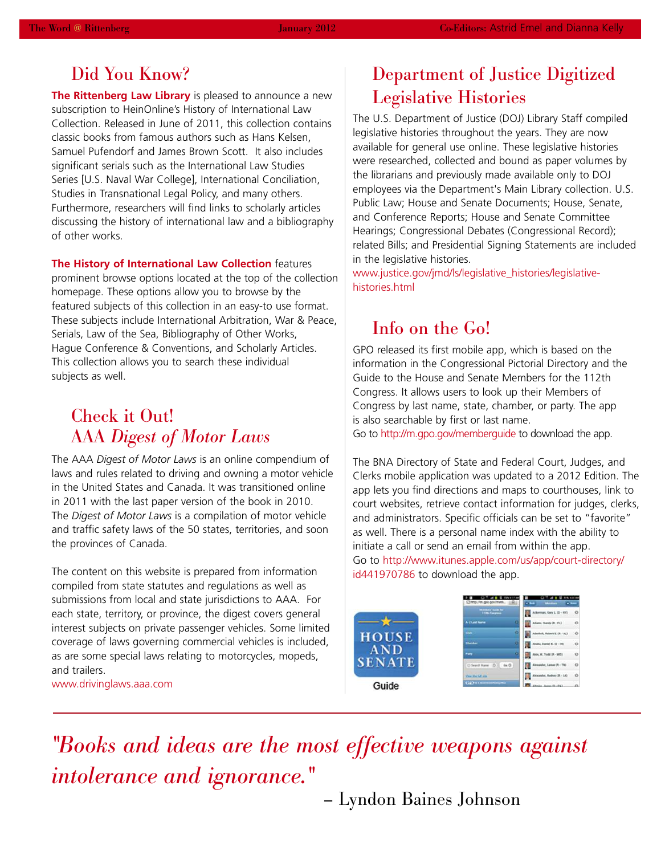## Did You Know?

**The Rittenberg Law Library** is pleased to announce a new subscription to HeinOnline's History of International Law Collection. Released in June of 2011, this collection contains classic books from famous authors such as Hans Kelsen, Samuel Pufendorf and James Brown Scott. It also includes significant serials such as the International Law Studies Series [U.S. Naval War College], International Conciliation, Studies in Transnational Legal Policy, and many others. Furthermore, researchers will find links to scholarly articles discussing the history of international law and a bibliography of other works.

**The History of International Law Collection** features prominent browse options located at the top of the collection homepage. These options allow you to browse by the featured subjects of this collection in an easy-to use format. These subjects include International Arbitration, War & Peace, Serials, Law of the Sea, Bibliography of Other Works, Hague Conference & Conventions, and Scholarly Articles. This collection allows you to search these individual subjects as well.

## Check it Out! AAA *Digest of Motor Laws*

The AAA *Digest of Motor Laws* is an online compendium of laws and rules related to driving and owning a motor vehicle in the United States and Canada. It was transitioned online in 2011 with the last paper version of the book in 2010. The *Digest of Motor Laws* is a compilation of motor vehicle and traffic safety laws of the 50 states, territories, and soon the provinces of Canada.

The content on this website is prepared from information compiled from state statutes and regulations as well as submissions from local and state jurisdictions to AAA. For each state, territory, or province, the digest covers general interest subjects on private passenger vehicles. Some limited coverage of laws governing commercial vehicles is included, as are some special laws relating to motorcycles, mopeds, and trailers.

www.drivinglaws.aaa.com

# Department of Justice Digitized Legislative Histories

The U.S. Department of Justice (DOJ) Library Staff compiled legislative histories throughout the years. They are now available for general use online. These legislative histories were researched, collected and bound as paper volumes by the librarians and previously made available only to DOJ employees via the Department's Main Library collection. U.S. Public Law; House and Senate Documents; House, Senate, and Conference Reports; House and Senate Committee Hearings; Congressional Debates (Congressional Record); related Bills; and Presidential Signing Statements are included in the legislative histories.

www.justice.gov/jmd/ls/legislative\_histories/legislativehistories.html

## Info on the Go!

GPO released its first mobile app, which is based on the information in the Congressional Pictorial Directory and the Guide to the House and Senate Members for the 112th Congress. It allows users to look up their Members of Congress by last name, state, chamber, or party. The app is also searchable by first or last name.

Go to http://m.gpo.gov/memberguide to download the app.

The BNA Directory of State and Federal Court, Judges, and Clerks mobile application was updated to a 2012 Edition. The app lets you find directions and maps to courthouses, link to court websites, retrieve contact information for judges, clerks, and administrators. Specific officials can be set to "favorite" as well. There is a personal name index with the ability to initiate a call or send an email from within the app. Go to http://www.itunes.apple.com/us/app/court-directory/ id441970786 to download the app.



*"Books and ideas are the most effective weapons against intolerance and ignorance."*

– Lyndon Baines Johnson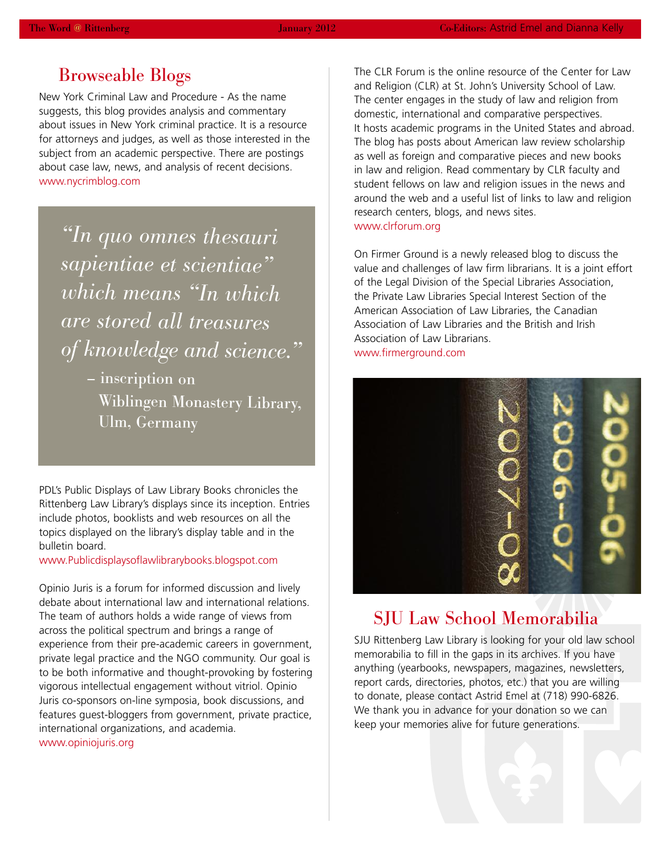## Browseable Blogs

New York Criminal Law and Procedure - As the name suggests, this blog provides analysis and commentary about issues in New York criminal practice. It is a resource for attorneys and judges, as well as those interested in the subject from an academic perspective. There are postings about case law, news, and analysis of recent decisions. www.nycrimblog.com

*"In quo omnes thesauri sapientiae et scientiae "which means "In which are stored all treasures of knowledge and science."*

> – inscription on Wiblingen Monastery Library, Ulm, Germany

PDL's Public Displays of Law Library Books chronicles the Rittenberg Law Library's displays since its inception. Entries include photos, booklists and web resources on all the topics displayed on the library's display table and in the bulletin board.

www.Publicdisplaysoflawlibrarybooks.blogspot.com

Opinio Juris is a forum for informed discussion and lively debate about international law and international relations. The team of authors holds a wide range of views from across the political spectrum and brings a range of experience from their pre-academic careers in government, private legal practice and the NGO community. Our goal is to be both informative and thought-provoking by fostering vigorous intellectual engagement without vitriol. Opinio Juris co-sponsors on-line symposia, book discussions, and features guest-bloggers from government, private practice, international organizations, and academia. www.opiniojuris.org

The CLR Forum is the online resource of the Center for Law and Religion (CLR) at St. John's University School of Law. The center engages in the study of law and religion from domestic, international and comparative perspectives. It hosts academic programs in the United States and abroad. The blog has posts about American law review scholarship as well as foreign and comparative pieces and new books in law and religion. Read commentary by CLR faculty and student fellows on law and religion issues in the news and around the web and a useful list of links to law and religion research centers, blogs, and news sites. www.clrforum.org

On Firmer Ground is a newly released blog to discuss the value and challenges of law firm librarians. It is a joint effort of the Legal Division of the Special Libraries Association, the Private Law Libraries Special Interest Section of the American Association of Law Libraries, the Canadian Association of Law Libraries and the British and Irish Association of Law Librarians. www.firmerground.com



## SJU Law School Memorabilia

SJU Rittenberg Law Library is looking for your old law school memorabilia to fill in the gaps in its archives. If you have anything (yearbooks, newspapers, magazines, newsletters, report cards, directories, photos, etc.) that you are willing to donate, please contact Astrid Emel at (718) 990-6826. We thank you in advance for your donation so we can keep your memories alive for future generations.